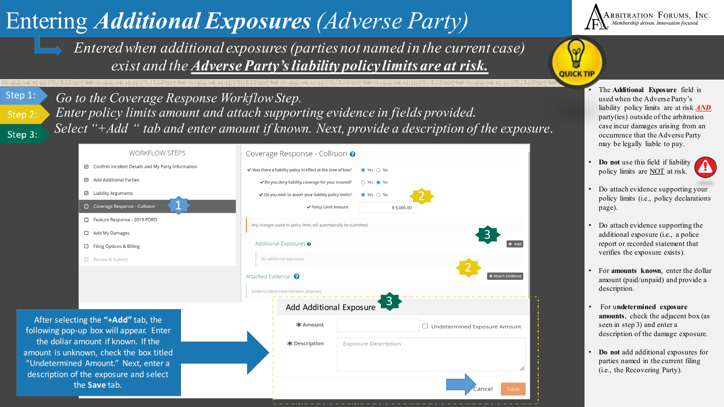## Entering *Additional Exposures (Adverse Party)*

*Entered when additional exposures (parties not named in the current case) exist and the Adverse Party'sliability policy limits are at risk.* 

Step 1: Step 2: Step 3:

Go to the Coverage Response Workflow Step. *Enter policy limits amount and attach supporting evidence in fields provided. Select "+Add " tab and enter amount if known. Next, provide a description of the exposure*.

| <b>WORKFLOW STEPS</b>                                                                                                                                                                                   |                                                     |  | Coverage Response - Collision @                                         |                                                               |                          |                             |                                     |    |
|---------------------------------------------------------------------------------------------------------------------------------------------------------------------------------------------------------|-----------------------------------------------------|--|-------------------------------------------------------------------------|---------------------------------------------------------------|--------------------------|-----------------------------|-------------------------------------|----|
|                                                                                                                                                                                                         | ☑ Confirm Incident Details and My Party Information |  |                                                                         | √ Was there a liability policy in effect at the time of loss? |                          | $\bullet$ Yes $\circ$ No    |                                     |    |
|                                                                                                                                                                                                         | □ Add Additional Parties                            |  |                                                                         | ◆ Do you deny liability coverage for your insured?            |                          | ○ Yes ● No                  |                                     |    |
|                                                                                                                                                                                                         | □ Liability Arguments                               |  | ◆ Do you wish to assert your liability policy limits?                   |                                                               | $\bullet$ Yes $\circ$ No |                             |                                     |    |
|                                                                                                                                                                                                         | Coverage Response - Collision                       |  |                                                                         | ✔ Policy Limit Amount                                         |                          | \$5,000.00                  |                                     |    |
|                                                                                                                                                                                                         | Feature Response - 2019 FORD                        |  | Any changes saved to policy limits will automatically be submitted.     |                                                               |                          |                             |                                     |    |
|                                                                                                                                                                                                         | $\Box$ Add My Damages                               |  |                                                                         |                                                               |                          |                             |                                     |    |
|                                                                                                                                                                                                         | Filing Options & Billing                            |  | Additional Exposures <sup>o</sup><br>$+$ Add<br>No additional exposures |                                                               |                          |                             |                                     |    |
|                                                                                                                                                                                                         | □ Review & Submit                                   |  |                                                                         |                                                               |                          |                             |                                     |    |
|                                                                                                                                                                                                         |                                                     |  | Attached Evidence<br><b>+</b> Attach Evidence                           |                                                               |                          |                             |                                     |    |
|                                                                                                                                                                                                         |                                                     |  | Evidence items have not been attached.                                  |                                                               |                          |                             |                                     |    |
|                                                                                                                                                                                                         |                                                     |  | $\frac{3}{2}$<br>Add Additional Exposure                                |                                                               |                          |                             |                                     |    |
| After selecting the "+Add" tab, the<br>following pop-up box will appear. Enter<br>the dollar amount if known. If the<br>amount is unknown, check the box titled<br>"Undetermined Amount." Next, enter a |                                                     |  |                                                                         | * Amount                                                      |                          |                             | $\Box$ Undetermined Exposure Amount |    |
|                                                                                                                                                                                                         |                                                     |  |                                                                         | * Description                                                 |                          | <b>Exposure Description</b> |                                     |    |
| description of the exposure and select<br>the Save tab.                                                                                                                                                 |                                                     |  |                                                                         |                                                               |                          |                             | Save<br>Cancel                      | // |



Y ă **QUICK TIP** 

> used when the Adverse Party's liability policy limits are at risk *AND* party(ies) outside of the arbitration case incur damages arising from an occurrence that the Adverse Party may be legally liable to pay.

- **Do not** use this field if liability policy limits are NOT at risk.
- Do attach evidence supporting your policy limits (i.e., policy declarations page).
- Do attach evidence supporting the additional exposure (i.e., a police report or recorded statement that verifies the exposure exists).
- For **amounts known**, enter the dollar amount (paid/unpaid) and provide a description.
- For u**ndetermined exposure amounts**, check the adjacent box (as seen in step 3) and enter a description of the damage exposure.
- **Do not** add additional exposures for parties named in the current filing (i.e., the Recovering Party).